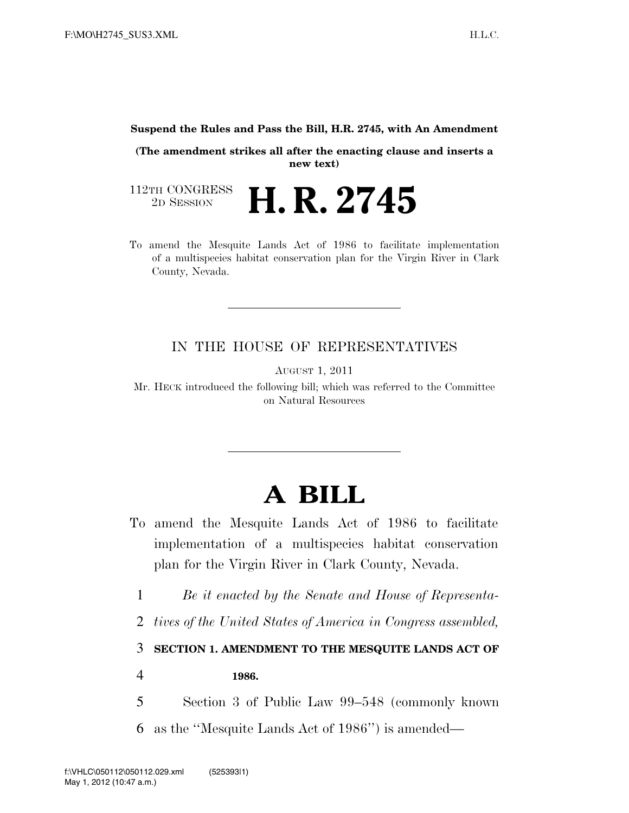## **Suspend the Rules and Pass the Bill, H.R. 2745, with An Amendment**

**(The amendment strikes all after the enacting clause and inserts a new text)** 

112TH CONGRESS<br>2D SESSION 2D SESSION **H. R. 2745**

To amend the Mesquite Lands Act of 1986 to facilitate implementation of a multispecies habitat conservation plan for the Virgin River in Clark County, Nevada.

## IN THE HOUSE OF REPRESENTATIVES

AUGUST 1, 2011

Mr. HECK introduced the following bill; which was referred to the Committee on Natural Resources

## **A BILL**

- To amend the Mesquite Lands Act of 1986 to facilitate implementation of a multispecies habitat conservation plan for the Virgin River in Clark County, Nevada.
	- 1 *Be it enacted by the Senate and House of Representa-*
	- 2 *tives of the United States of America in Congress assembled,*

3 **SECTION 1. AMENDMENT TO THE MESQUITE LANDS ACT OF** 

4 **1986.** 

5 Section 3 of Public Law 99–548 (commonly known 6 as the ''Mesquite Lands Act of 1986'') is amended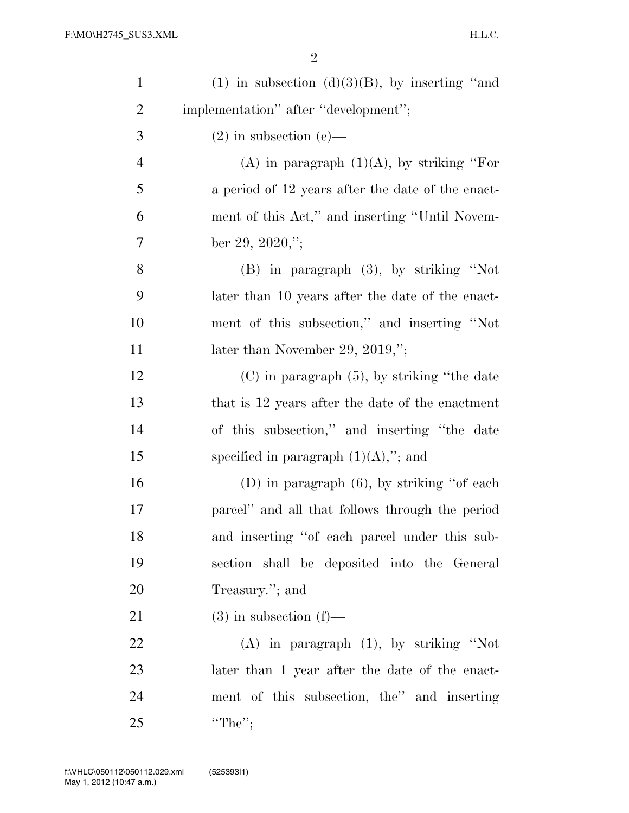2

| $\mathbf{1}$   | (1) in subsection (d) $(3)(B)$ , by inserting "and |
|----------------|----------------------------------------------------|
| $\overline{c}$ | implementation" after "development";               |
| 3              | $(2)$ in subsection $(e)$ —                        |
| $\overline{4}$ | (A) in paragraph $(1)(A)$ , by striking "For       |
| 5              | a period of 12 years after the date of the enact-  |
| 6              | ment of this Act," and inserting "Until Novem-     |
| $\tau$         | ber 29, 2020,";                                    |
| 8              | $(B)$ in paragraph $(3)$ , by striking "Not        |
| 9              | later than 10 years after the date of the enact-   |
| 10             | ment of this subsection," and inserting "Not       |
| 11             | later than November 29, 2019,";                    |
| 12             | $(C)$ in paragraph $(5)$ , by striking "the date   |
| 13             | that is 12 years after the date of the enactment   |
| 14             | of this subsection," and inserting "the date       |
| 15             | specified in paragraph $(1)(A)$ ,"; and            |
| 16             | (D) in paragraph $(6)$ , by striking "of each      |
| 17             | parcel" and all that follows through the period    |
| 18             | and inserting "of each parcel under this sub-      |
| 19             | section shall be deposited into the General        |
| 20             | Treasury."; and                                    |
| 21             | $(3)$ in subsection $(f)$ —                        |
| 22             | $(A)$ in paragraph $(1)$ , by striking "Not        |
| 23             | later than 1 year after the date of the enact-     |
| 24             | ment of this subsection, the" and inserting        |
| 25             | "The";                                             |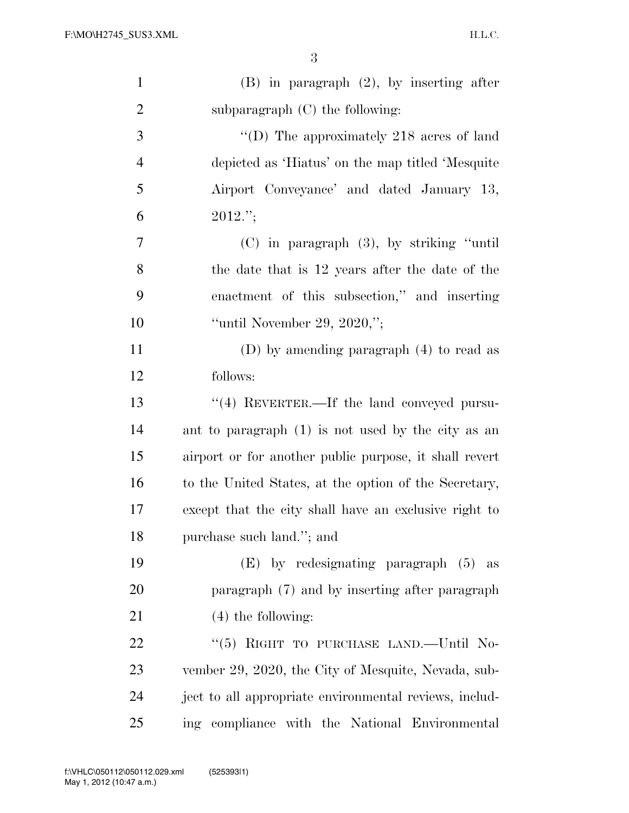| $\mathbf{1}$   | $(B)$ in paragraph $(2)$ , by inserting after          |
|----------------|--------------------------------------------------------|
| $\overline{2}$ | subparagraph $(C)$ the following:                      |
| 3              | "(D) The approximately $218$ acres of land             |
| $\overline{4}$ | depicted as 'Hiatus' on the map titled 'Mesquite       |
| 5              | Airport Conveyance' and dated January 13,              |
| 6              | $2012$ .";                                             |
| 7              | $(C)$ in paragraph $(3)$ , by striking "until"         |
| 8              | the date that is 12 years after the date of the        |
| 9              | enactment of this subsection," and inserting           |
| 10             | "until November 29, 2020,";                            |
| 11             | (D) by amending paragraph $(4)$ to read as             |
| 12             | follows:                                               |
| 13             | $\lq(4)$ REVERTER.—If the land conveyed pursu-         |
| 14             | ant to paragraph (1) is not used by the city as an     |
| 15             | airport or for another public purpose, it shall revert |
| 16             | to the United States, at the option of the Secretary,  |
| 17             | except that the city shall have an exclusive right to  |
| 18             | purchase such land."; and                              |
| 19             | $(E)$ by redesignating paragraph $(5)$ as              |
| 20             | paragraph (7) and by inserting after paragraph         |
| 21             | $(4)$ the following:                                   |
| 22             | "(5) RIGHT TO PURCHASE LAND.—Until No-                 |
| 23             | vember 29, 2020, the City of Mesquite, Nevada, sub-    |
| 24             | ject to all appropriate environmental reviews, includ- |
| 25             | ing compliance with the National Environmental         |